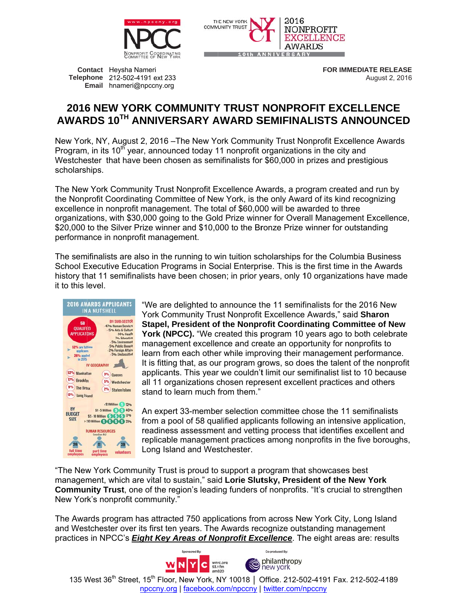



Contact Heysha Nameri Telephone 212-502-4191 ext 233 Email hnameri@npccny.org

**FOR IMMEDIATE RELEASE** August 2, 2016

## **2016 NEW YORK COMMUNITY TRUST NONPROFIT EXCELLENCE** AWARDS 10TH ANNIVERSARY AWARD SEMIFINALISTS ANNOUNCED

New York, NY, August 2, 2016 – The New York Community Trust Nonprofit Excellence Awards Program, in its 10<sup>th</sup> year, announced today 11 nonprofit organizations in the city and Westchester that have been chosen as semifinalists for \$60,000 in prizes and prestigious scholarships.

The New York Community Trust Nonprofit Excellence Awards, a program created and run by the Nonprofit Coordinating Committee of New York, is the only Award of its kind recognizing excellence in nonprofit management. The total of \$60,000 will be awarded to three organizations, with \$30,000 going to the Gold Prize winner for Overall Management Excellence, \$20,000 to the Silver Prize winner and \$10,000 to the Bronze Prize winner for outstanding performance in nonprofit management.

The semifinalists are also in the running to win tuition scholarships for the Columbia Business School Executive Education Programs in Social Enterprise. This is the first time in the Awards history that 11 semifinalists have been chosen; in prior years, only 10 organizations have made it to this level.



"We are delighted to announce the 11 semifinalists for the 2016 New York Community Trust Nonprofit Excellence Awards," said Sharon Stapel, President of the Nonprofit Coordinating Committee of New **York (NPCC).** "We created this program 10 years ago to both celebrate management excellence and create an opportunity for nonprofits to learn from each other while improving their management performance. It is fitting that, as our program grows, so does the talent of the nonprofit applicants. This year we couldn't limit our semifinalist list to 10 because all 11 organizations chosen represent excellent practices and others stand to learn much from them."

An expert 33-member selection committee chose the 11 semifinalists from a pool of 58 qualified applicants following an intensive application, readiness assessment and vetting process that identifies excellent and replicable management practices among nonprofits in the five boroughs, Long Island and Westchester.

"The New York Community Trust is proud to support a program that showcases best management, which are vital to sustain," said Lorie Slutsky, President of the New York **Community Trust**, one of the region's leading funders of nonprofits. "It's crucial to strengthen New York's nonprofit community."

The Awards program has attracted 750 applications from across New York City, Long Island and Westchester over its first ten years. The Awards recognize outstanding management practices in NPCC's *Eight Key Areas of Nonprofit Excellence*. The eight areas are: results

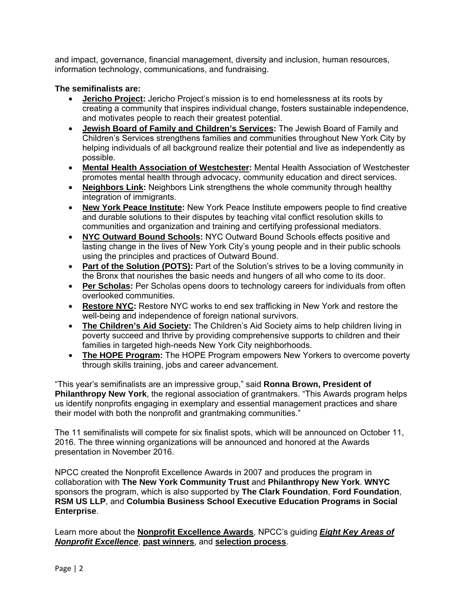and impact, governance, financial management, diversity and inclusion, human resources, information technology, communications, and fundraising.

## **The semifinalists are:**

- **Jericho Project:** Jericho Project's mission is to end homelessness at its roots by creating a community that inspires individual change, fosters sustainable independence, and motivates people to reach their greatest potential.
- **Jewish Board of Family and Children's Services:** The Jewish Board of Family and Children's Services strengthens families and communities throughout New York City by helping individuals of all background realize their potential and live as independently as possible.
- **Mental Health Association of Westchester:** Mental Health Association of Westchester promotes mental health through advocacy, community education and direct services.
- **Neighbors Link:** Neighbors Link strengthens the whole community through healthy integration of immigrants.
- **New York Peace Institute:** New York Peace Institute empowers people to find creative and durable solutions to their disputes by teaching vital conflict resolution skills to communities and organization and training and certifying professional mediators.
- **NYC Outward Bound Schools:** NYC Outward Bound Schools effects positive and lasting change in the lives of New York City's young people and in their public schools using the principles and practices of Outward Bound.
- **Part of the Solution (POTS):** Part of the Solution's strives to be a loving community in the Bronx that nourishes the basic needs and hungers of all who come to its door.
- **Per Scholas:** Per Scholas opens doors to technology careers for individuals from often overlooked communities.
- **Restore NYC:** Restore NYC works to end sex trafficking in New York and restore the well-being and independence of foreign national survivors.
- **The Children's Aid Society:** The Children's Aid Society aims to help children living in poverty succeed and thrive by providing comprehensive supports to children and their families in targeted high-needs New York City neighborhoods.
- **The HOPE Program:** The HOPE Program empowers New Yorkers to overcome poverty through skills training, jobs and career advancement.

"This year's semifinalists are an impressive group," said **Ronna Brown, President of Philanthropy New York**, the regional association of grantmakers. "This Awards program helps us identify nonprofits engaging in exemplary and essential management practices and share their model with both the nonprofit and grantmaking communities."

The 11 semifinalists will compete for six finalist spots, which will be announced on October 11, 2016. The three winning organizations will be announced and honored at the Awards presentation in November 2016.

NPCC created the Nonprofit Excellence Awards in 2007 and produces the program in collaboration with **The New York Community Trust** and **Philanthropy New York**. **WNYC** sponsors the program, which is also supported by **The Clark Foundation**, **Ford Foundation**, **RSM US LLP**, and **Columbia Business School Executive Education Programs in Social Enterprise**.

Learn more about the **Nonprofit Excellence Awards**, NPCC's guiding *Eight Key Areas of Nonprofit Excellence*, **past winners**, and **selection process**.